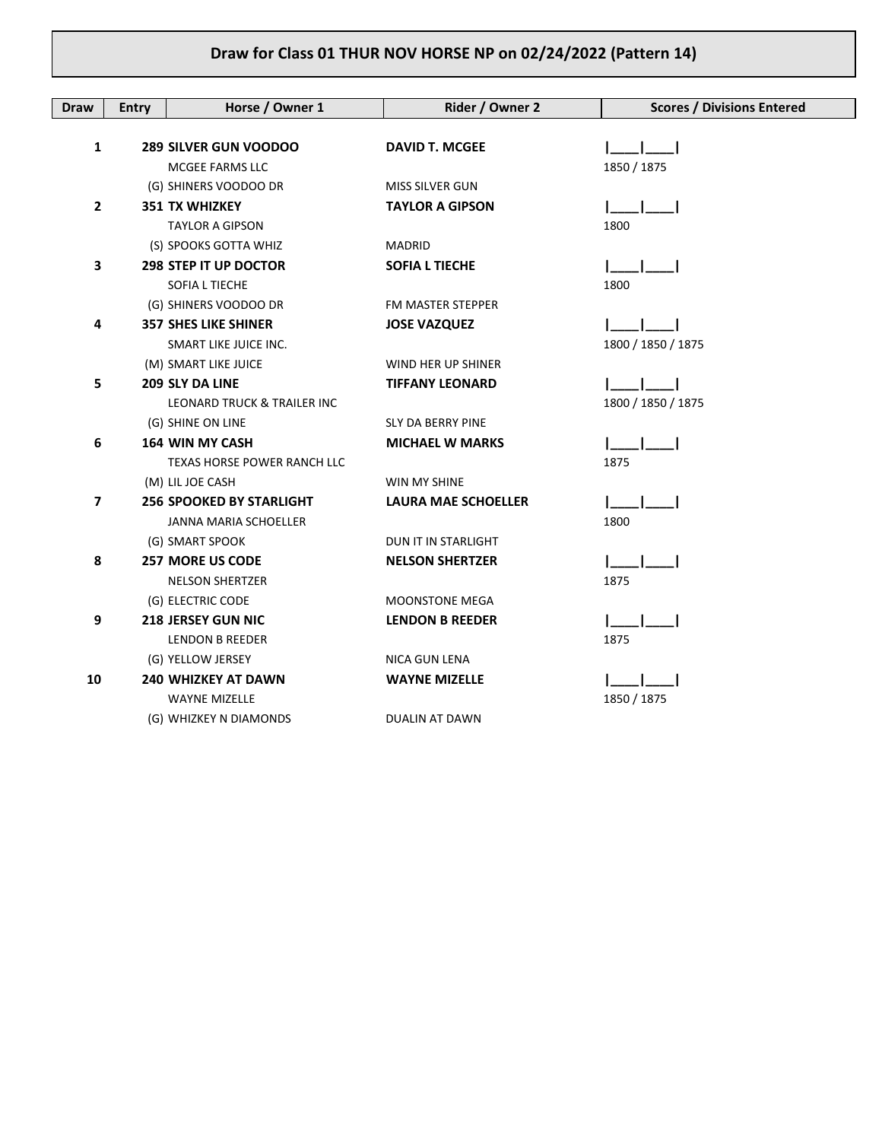| <b>Draw</b>    | <b>Entry</b> | Horse / Owner 1                    | Rider / Owner 2            | <b>Scores / Divisions Entered</b> |
|----------------|--------------|------------------------------------|----------------------------|-----------------------------------|
|                |              |                                    |                            |                                   |
| 1              |              | <b>289 SILVER GUN VOODOO</b>       | <b>DAVID T. MCGEE</b>      |                                   |
|                |              | MCGEE FARMS LLC                    |                            | 1850 / 1875                       |
|                |              | (G) SHINERS VOODOO DR              | MISS SILVER GUN            |                                   |
| $\overline{2}$ |              | <b>351 TX WHIZKEY</b>              | <b>TAYLOR A GIPSON</b>     |                                   |
|                |              | <b>TAYLOR A GIPSON</b>             |                            | 1800                              |
|                |              | (S) SPOOKS GOTTA WHIZ              | MADRID                     |                                   |
| 3              |              | <b>298 STEP IT UP DOCTOR</b>       | <b>SOFIA L TIECHE</b>      |                                   |
|                |              | SOFIA L TIECHE                     |                            | 1800                              |
|                |              | (G) SHINERS VOODOO DR              | FM MASTER STEPPER          |                                   |
| 4              |              | <b>357 SHES LIKE SHINER</b>        | <b>JOSE VAZQUEZ</b>        |                                   |
|                |              | SMART LIKE JUICE INC.              |                            | 1800 / 1850 / 1875                |
|                |              | (M) SMART LIKE JUICE               | WIND HER UP SHINER         |                                   |
| 5              |              | 209 SLY DA LINE                    | <b>TIFFANY LEONARD</b>     |                                   |
|                |              | LEONARD TRUCK & TRAILER INC        |                            | 1800 / 1850 / 1875                |
|                |              | (G) SHINE ON LINE                  | <b>SLY DA BERRY PINE</b>   |                                   |
| 6              |              | <b>164 WIN MY CASH</b>             | <b>MICHAEL W MARKS</b>     |                                   |
|                |              | <b>TEXAS HORSE POWER RANCH LLC</b> |                            | 1875                              |
|                |              | (M) LIL JOE CASH                   | WIN MY SHINE               |                                   |
| $\overline{7}$ |              | <b>256 SPOOKED BY STARLIGHT</b>    | <b>LAURA MAE SCHOELLER</b> |                                   |
|                |              | JANNA MARIA SCHOELLER              |                            | 1800                              |
|                |              | (G) SMART SPOOK                    | DUN IT IN STARLIGHT        |                                   |
| 8              |              | <b>257 MORE US CODE</b>            | <b>NELSON SHERTZER</b>     |                                   |
|                |              | <b>NELSON SHERTZER</b>             |                            | 1875                              |
|                |              | (G) ELECTRIC CODE                  | <b>MOONSTONE MEGA</b>      |                                   |
| 9              |              | <b>218 JERSEY GUN NIC</b>          | <b>LENDON B REEDER</b>     |                                   |
|                |              | <b>LENDON B REEDER</b>             |                            | 1875                              |
|                |              | (G) YELLOW JERSEY                  | NICA GUN LENA              |                                   |
| 10             |              | <b>240 WHIZKEY AT DAWN</b>         | <b>WAYNE MIZELLE</b>       |                                   |
|                |              | <b>WAYNE MIZELLE</b>               |                            | 1850 / 1875                       |
|                |              | (G) WHIZKEY N DIAMONDS             | DUALIN AT DAWN             |                                   |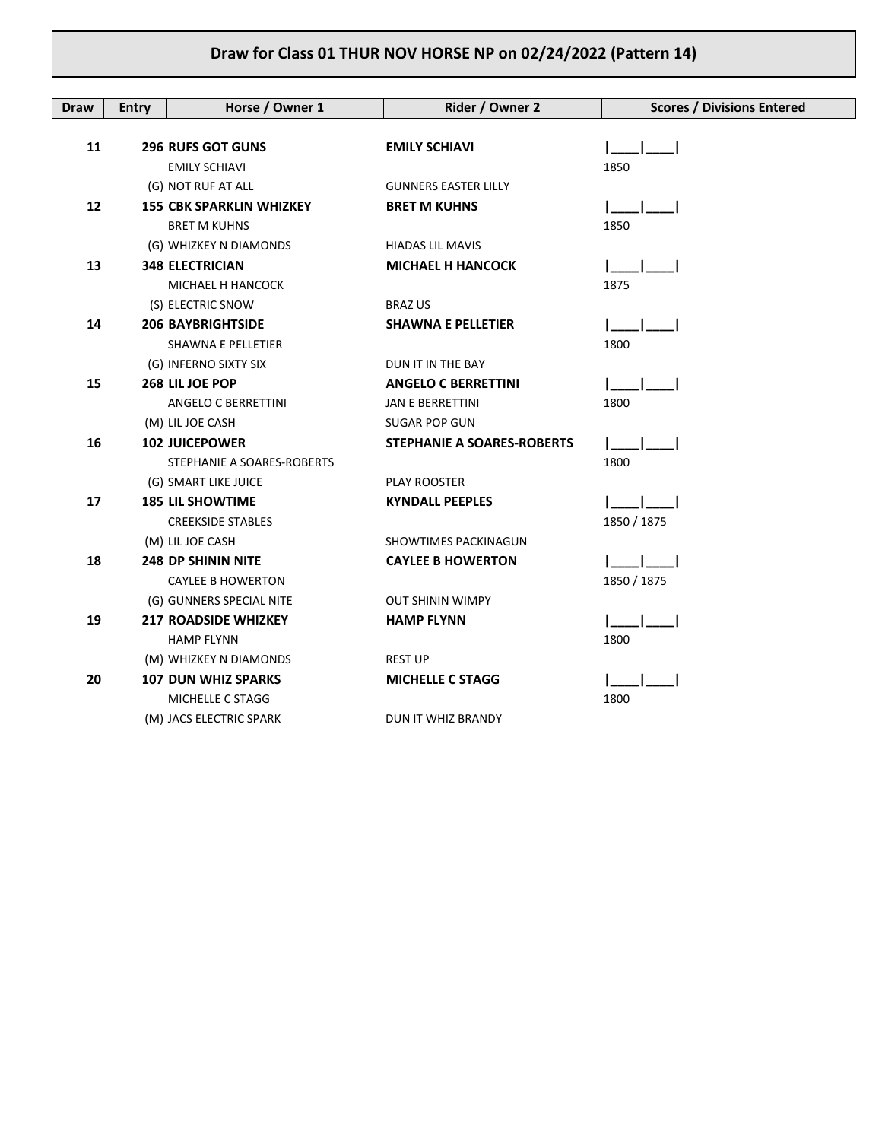| <b>Draw</b> | <b>Entry</b> | Horse / Owner 1                 | Rider / Owner 2                   | <b>Scores / Divisions Entered</b> |
|-------------|--------------|---------------------------------|-----------------------------------|-----------------------------------|
|             |              |                                 |                                   |                                   |
| 11          |              | <b>296 RUFS GOT GUNS</b>        | <b>EMILY SCHIAVI</b>              |                                   |
|             |              | <b>EMILY SCHIAVI</b>            |                                   | 1850                              |
|             |              | (G) NOT RUF AT ALL              | <b>GUNNERS EASTER LILLY</b>       |                                   |
| 12          |              | <b>155 CBK SPARKLIN WHIZKEY</b> | <b>BRET M KUHNS</b>               |                                   |
|             |              | <b>BRET M KUHNS</b>             |                                   | 1850                              |
|             |              | (G) WHIZKEY N DIAMONDS          | <b>HIADAS LIL MAVIS</b>           |                                   |
| 13          |              | <b>348 ELECTRICIAN</b>          | <b>MICHAEL H HANCOCK</b>          |                                   |
|             |              | MICHAEL H HANCOCK               |                                   | 1875                              |
|             |              | (S) ELECTRIC SNOW               | <b>BRAZ US</b>                    |                                   |
| 14          |              | <b>206 BAYBRIGHTSIDE</b>        | <b>SHAWNA E PELLETIER</b>         |                                   |
|             |              | SHAWNA E PELLETIER              |                                   | 1800                              |
|             |              | (G) INFERNO SIXTY SIX           | DUN IT IN THE BAY                 |                                   |
| 15          |              | 268 LIL JOE POP                 | <b>ANGELO C BERRETTINI</b>        |                                   |
|             |              | ANGELO C BERRETTINI             | <b>JAN E BERRETTINI</b>           | 1800                              |
|             |              | (M) LIL JOE CASH                | SUGAR POP GUN                     |                                   |
| 16          |              | <b>102 JUICEPOWER</b>           | <b>STEPHANIE A SOARES-ROBERTS</b> |                                   |
|             |              | STEPHANIE A SOARES-ROBERTS      |                                   | 1800                              |
|             |              | (G) SMART LIKE JUICE            | <b>PLAY ROOSTER</b>               |                                   |
| 17          |              | <b>185 LIL SHOWTIME</b>         | <b>KYNDALL PEEPLES</b>            |                                   |
|             |              | <b>CREEKSIDE STABLES</b>        |                                   | 1850 / 1875                       |
|             |              | (M) LIL JOE CASH                | SHOWTIMES PACKINAGUN              |                                   |
| 18          |              | <b>248 DP SHININ NITE</b>       | <b>CAYLEE B HOWERTON</b>          |                                   |
|             |              | <b>CAYLEE B HOWERTON</b>        |                                   | 1850 / 1875                       |
|             |              | (G) GUNNERS SPECIAL NITE        | <b>OUT SHININ WIMPY</b>           |                                   |
| 19          |              | <b>217 ROADSIDE WHIZKEY</b>     | <b>HAMP FLYNN</b>                 |                                   |
|             |              | <b>HAMP FLYNN</b>               |                                   | 1800                              |
|             |              | (M) WHIZKEY N DIAMONDS          | <b>REST UP</b>                    |                                   |
| 20          |              | <b>107 DUN WHIZ SPARKS</b>      | <b>MICHELLE C STAGG</b>           |                                   |
|             |              | MICHELLE C STAGG                |                                   | 1800                              |
|             |              | (M) JACS ELECTRIC SPARK         | DUN IT WHIZ BRANDY                |                                   |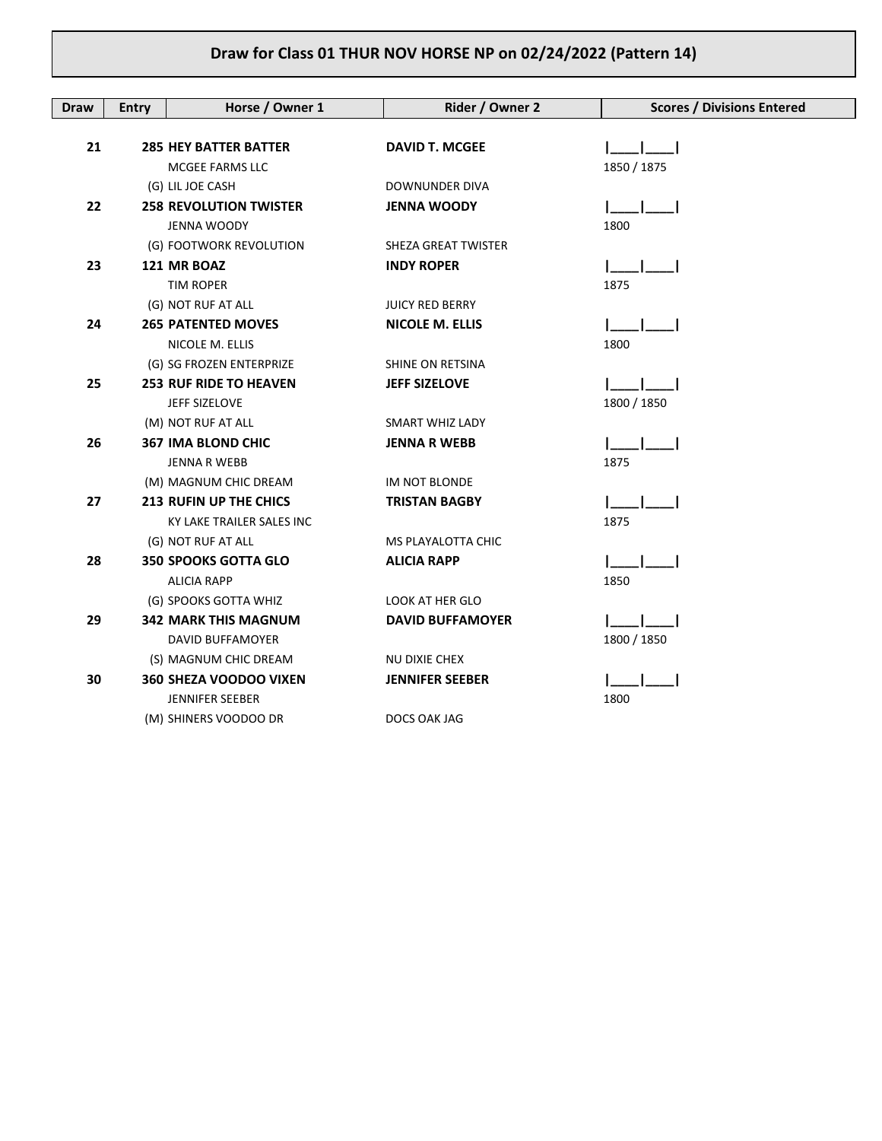| Draw | <b>Entry</b> | Horse / Owner 1               | Rider / Owner 2         | <b>Scores / Divisions Entered</b> |
|------|--------------|-------------------------------|-------------------------|-----------------------------------|
|      |              |                               |                         |                                   |
| 21   |              | <b>285 HEY BATTER BATTER</b>  | <b>DAVID T. MCGEE</b>   |                                   |
|      |              | MCGEE FARMS LLC               |                         | 1850 / 1875                       |
|      |              | (G) LIL JOE CASH              | DOWNUNDER DIVA          |                                   |
| 22   |              | <b>258 REVOLUTION TWISTER</b> | <b>JENNA WOODY</b>      |                                   |
|      |              | JENNA WOODY                   |                         | 1800                              |
|      |              | (G) FOOTWORK REVOLUTION       | SHEZA GREAT TWISTER     |                                   |
| 23   |              | 121 MR BOAZ                   | <b>INDY ROPER</b>       |                                   |
|      |              | <b>TIM ROPER</b>              |                         | 1875                              |
|      |              | (G) NOT RUF AT ALL            | <b>JUICY RED BERRY</b>  |                                   |
| 24   |              | <b>265 PATENTED MOVES</b>     | <b>NICOLE M. ELLIS</b>  |                                   |
|      |              | NICOLE M. ELLIS               |                         | 1800                              |
|      |              | (G) SG FROZEN ENTERPRIZE      | SHINE ON RETSINA        |                                   |
| 25   |              | <b>253 RUF RIDE TO HEAVEN</b> | <b>JEFF SIZELOVE</b>    |                                   |
|      |              | JEFF SIZELOVE                 |                         | 1800 / 1850                       |
|      |              | (M) NOT RUF AT ALL            | <b>SMART WHIZ LADY</b>  |                                   |
| 26   |              | <b>367 IMA BLOND CHIC</b>     | <b>JENNA R WEBB</b>     |                                   |
|      |              | <b>JENNA R WEBB</b>           |                         | 1875                              |
|      |              | (M) MAGNUM CHIC DREAM         | IM NOT BLONDE           |                                   |
| 27   |              | <b>213 RUFIN UP THE CHICS</b> | <b>TRISTAN BAGBY</b>    |                                   |
|      |              | KY LAKE TRAILER SALES INC     |                         | 1875                              |
|      |              | (G) NOT RUF AT ALL            | MS PLAYALOTTA CHIC      |                                   |
| 28   |              | <b>350 SPOOKS GOTTA GLO</b>   | <b>ALICIA RAPP</b>      |                                   |
|      |              | <b>ALICIA RAPP</b>            |                         | 1850                              |
|      |              | (G) SPOOKS GOTTA WHIZ         | LOOK AT HER GLO         |                                   |
| 29   |              | <b>342 MARK THIS MAGNUM</b>   | <b>DAVID BUFFAMOYER</b> |                                   |
|      |              | <b>DAVID BUFFAMOYER</b>       |                         | 1800 / 1850                       |
|      |              | (S) MAGNUM CHIC DREAM         | NU DIXIE CHEX           |                                   |
| 30   |              | 360 SHEZA VOODOO VIXEN        | <b>JENNIFER SEEBER</b>  |                                   |
|      |              | <b>JENNIFER SEEBER</b>        |                         | 1800                              |
|      |              | (M) SHINERS VOODOO DR         | DOCS OAK JAG            |                                   |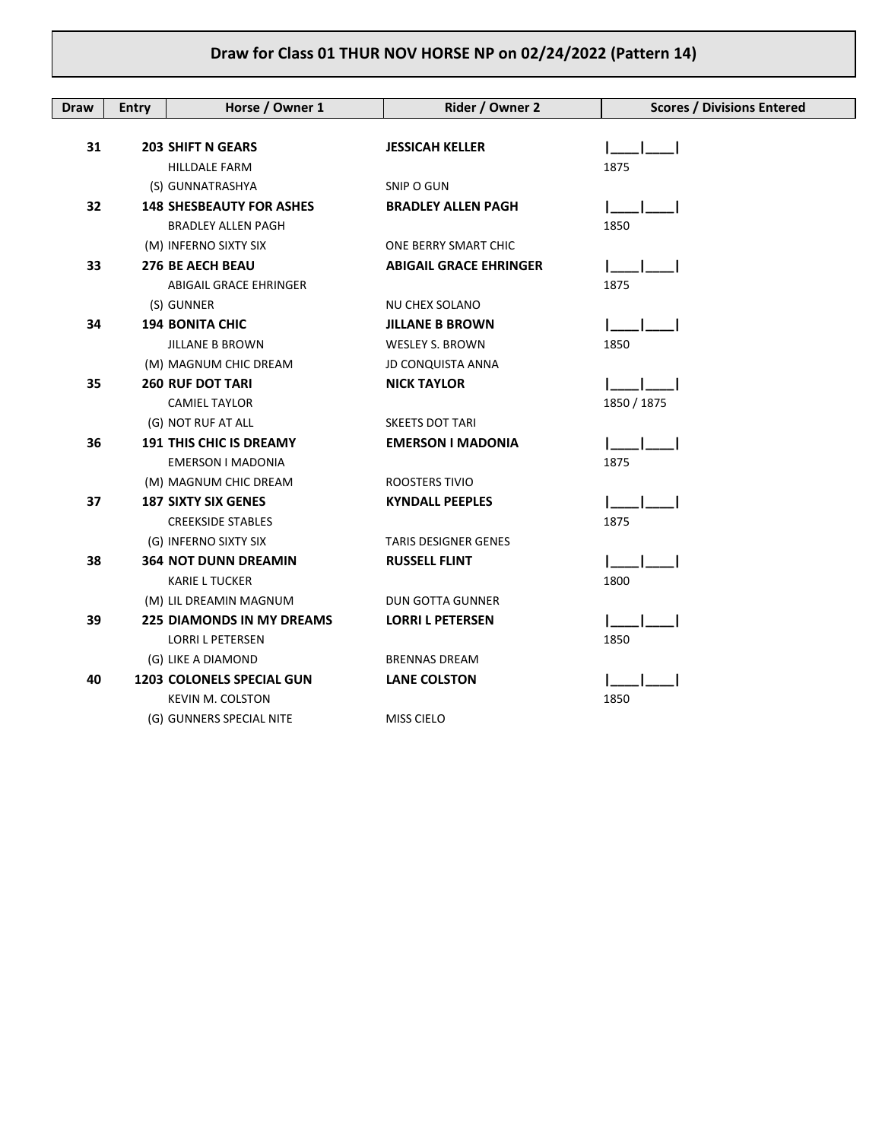| <b>Draw</b> | <b>Entry</b> | Horse / Owner 1                  | Rider / Owner 2               | <b>Scores / Divisions Entered</b> |
|-------------|--------------|----------------------------------|-------------------------------|-----------------------------------|
|             |              |                                  |                               |                                   |
| 31          |              | <b>203 SHIFT N GEARS</b>         | <b>JESSICAH KELLER</b>        |                                   |
|             |              | <b>HILLDALE FARM</b>             |                               | 1875                              |
|             |              | (S) GUNNATRASHYA                 | SNIP O GUN                    |                                   |
| 32          |              | <b>148 SHESBEAUTY FOR ASHES</b>  | <b>BRADLEY ALLEN PAGH</b>     |                                   |
|             |              | <b>BRADLEY ALLEN PAGH</b>        |                               | 1850                              |
|             |              | (M) INFERNO SIXTY SIX            | ONE BERRY SMART CHIC          |                                   |
| 33          |              | <b>276 BE AECH BEAU</b>          | <b>ABIGAIL GRACE EHRINGER</b> |                                   |
|             |              | ABIGAIL GRACE EHRINGER           |                               | 1875                              |
|             |              | (S) GUNNER                       | NU CHEX SOLANO                |                                   |
| 34          |              | <b>194 BONITA CHIC</b>           | <b>JILLANE B BROWN</b>        |                                   |
|             |              | <b>JILLANE B BROWN</b>           | <b>WESLEY S. BROWN</b>        | 1850                              |
|             |              | (M) MAGNUM CHIC DREAM            | <b>JD CONQUISTA ANNA</b>      |                                   |
| 35          |              | <b>260 RUF DOT TARI</b>          | <b>NICK TAYLOR</b>            |                                   |
|             |              | <b>CAMIEL TAYLOR</b>             |                               | 1850 / 1875                       |
|             |              | (G) NOT RUF AT ALL               | <b>SKEETS DOT TARI</b>        |                                   |
| 36          |              | <b>191 THIS CHIC IS DREAMY</b>   | <b>EMERSON I MADONIA</b>      |                                   |
|             |              | EMERSON I MADONIA                |                               | 1875                              |
|             |              | (M) MAGNUM CHIC DREAM            | ROOSTERS TIVIO                |                                   |
| 37          |              | <b>187 SIXTY SIX GENES</b>       | <b>KYNDALL PEEPLES</b>        |                                   |
|             |              | <b>CREEKSIDE STABLES</b>         |                               | 1875                              |
|             |              | (G) INFERNO SIXTY SIX            | TARIS DESIGNER GENES          |                                   |
| 38          |              | <b>364 NOT DUNN DREAMIN</b>      | <b>RUSSELL FLINT</b>          |                                   |
|             |              | <b>KARIE L TUCKER</b>            |                               | 1800                              |
|             |              | (M) LIL DREAMIN MAGNUM           | <b>DUN GOTTA GUNNER</b>       |                                   |
| 39          |              | <b>225 DIAMONDS IN MY DREAMS</b> | <b>LORRI L PETERSEN</b>       |                                   |
|             |              | <b>LORRI L PETERSEN</b>          |                               | 1850                              |
|             |              | (G) LIKE A DIAMOND               | <b>BRENNAS DREAM</b>          |                                   |
| 40          |              | <b>1203 COLONELS SPECIAL GUN</b> | <b>LANE COLSTON</b>           |                                   |
|             |              | <b>KEVIN M. COLSTON</b>          |                               | 1850                              |
|             |              | (G) GUNNERS SPECIAL NITE         | <b>MISS CIELO</b>             |                                   |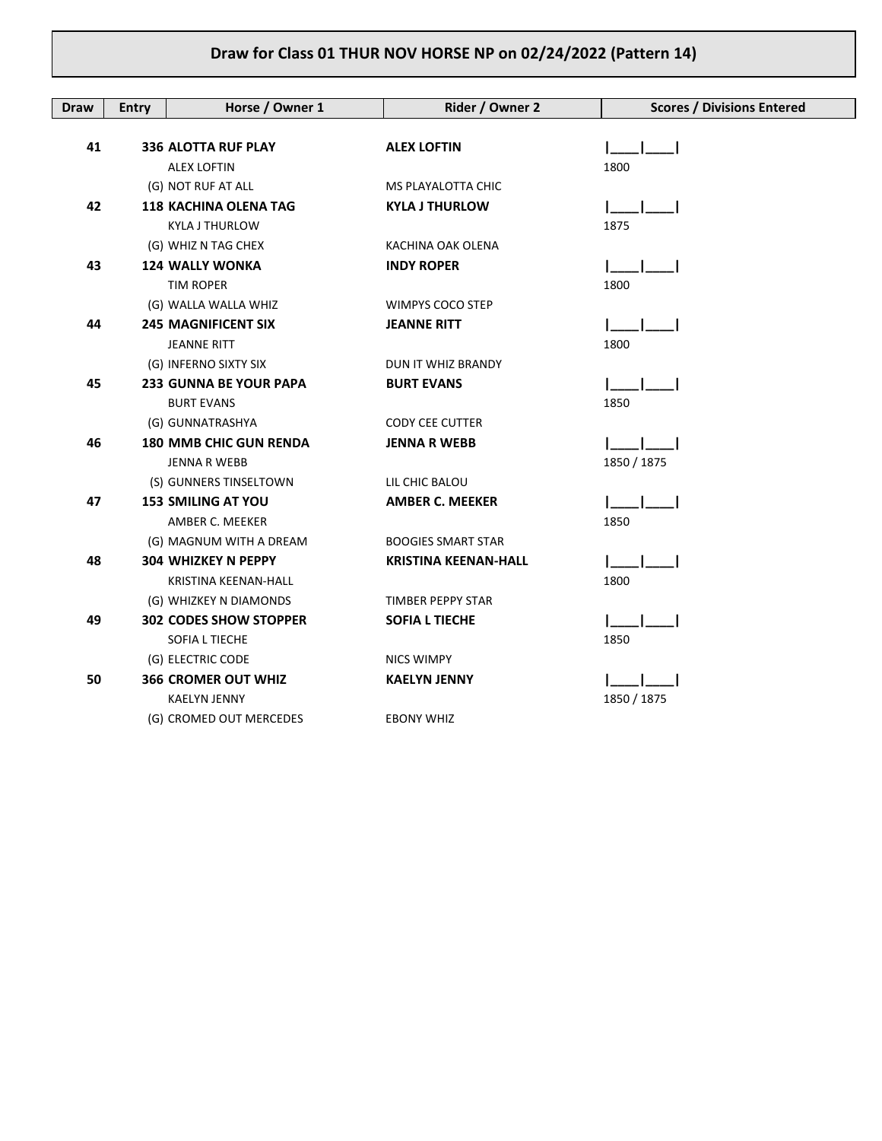| <b>Draw</b> | <b>Entry</b> | Horse / Owner 1               | Rider / Owner 2             | <b>Scores / Divisions Entered</b> |
|-------------|--------------|-------------------------------|-----------------------------|-----------------------------------|
|             |              |                               |                             |                                   |
| 41          |              | <b>336 ALOTTA RUF PLAY</b>    | <b>ALEX LOFTIN</b>          |                                   |
|             |              | <b>ALEX LOFTIN</b>            |                             | 1800                              |
|             |              | (G) NOT RUF AT ALL            | MS PLAYALOTTA CHIC          |                                   |
| 42          |              | <b>118 KACHINA OLENA TAG</b>  | <b>KYLA J THURLOW</b>       |                                   |
|             |              | <b>KYLA J THURLOW</b>         |                             | 1875                              |
|             |              | (G) WHIZ N TAG CHEX           | KACHINA OAK OLENA           |                                   |
| 43          |              | <b>124 WALLY WONKA</b>        | <b>INDY ROPER</b>           |                                   |
|             |              | <b>TIM ROPER</b>              |                             | 1800                              |
|             |              | (G) WALLA WALLA WHIZ          | WIMPYS COCO STEP            |                                   |
| 44          |              | <b>245 MAGNIFICENT SIX</b>    | <b>JEANNE RITT</b>          |                                   |
|             |              | <b>JEANNE RITT</b>            |                             | 1800                              |
|             |              | (G) INFERNO SIXTY SIX         | DUN IT WHIZ BRANDY          |                                   |
| 45          |              | 233 GUNNA BE YOUR PAPA        | <b>BURT EVANS</b>           |                                   |
|             |              | <b>BURT EVANS</b>             |                             | 1850                              |
|             |              | (G) GUNNATRASHYA              | <b>CODY CEE CUTTER</b>      |                                   |
| 46          |              | <b>180 MMB CHIC GUN RENDA</b> | <b>JENNA R WEBB</b>         |                                   |
|             |              | JENNA R WEBB                  |                             | 1850 / 1875                       |
|             |              | (S) GUNNERS TINSELTOWN        | LIL CHIC BALOU              |                                   |
| 47          |              | <b>153 SMILING AT YOU</b>     | <b>AMBER C. MEEKER</b>      |                                   |
|             |              | AMBER C. MEEKER               |                             | 1850                              |
|             |              | (G) MAGNUM WITH A DREAM       | <b>BOOGIES SMART STAR</b>   |                                   |
| 48          |              | <b>304 WHIZKEY N PEPPY</b>    | <b>KRISTINA KEENAN-HALL</b> |                                   |
|             |              | KRISTINA KEENAN-HALL          |                             | 1800                              |
|             |              | (G) WHIZKEY N DIAMONDS        | TIMBER PEPPY STAR           |                                   |
| 49          |              | <b>302 CODES SHOW STOPPER</b> | <b>SOFIA L TIECHE</b>       |                                   |
|             |              | SOFIA L TIECHE                |                             | 1850                              |
|             |              | (G) ELECTRIC CODE             | <b>NICS WIMPY</b>           |                                   |
| 50          |              | <b>366 CROMER OUT WHIZ</b>    | <b>KAELYN JENNY</b>         |                                   |
|             |              | <b>KAELYN JENNY</b>           |                             | 1850 / 1875                       |
|             |              | (G) CROMED OUT MERCEDES       | EBONY WHIZ                  |                                   |